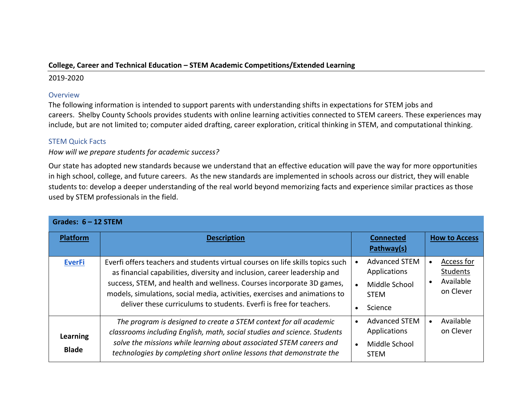## **College, Career and Technical Education – STEM Academic Competitions/Extended Learning**

## 2019-2020

## **Overview**

The following information is intended to support parents with understanding shifts in expectations for STEM jobs and careers. Shelby County Schools provides students with online learning activities connected to STEM careers. These experiences may include, but are not limited to; computer aided drafting, career exploration, critical thinking in STEM, and computational thinking.

## STEM Quick Facts

*How will we prepare students for academic success?*

Our state has adopted new standards because we understand that an effective education will pave the way for more opportunities in high school, college, and future careers. As the new standards are implemented in schools across our district, they will enable students to: develop a deeper understanding of the real world beyond memorizing facts and experience similar practices as those used by STEM professionals in the field.

| Grades: $6 - 12$ STEM    |                                                                                                                                                                                                                                                                                                                                                                                           |                                                                                 |                                                               |  |  |  |  |  |
|--------------------------|-------------------------------------------------------------------------------------------------------------------------------------------------------------------------------------------------------------------------------------------------------------------------------------------------------------------------------------------------------------------------------------------|---------------------------------------------------------------------------------|---------------------------------------------------------------|--|--|--|--|--|
| <b>Platform</b>          | <b>Description</b>                                                                                                                                                                                                                                                                                                                                                                        | <b>Connected</b><br>Pathway(s)                                                  | <b>How to Access</b>                                          |  |  |  |  |  |
| <b>EverFi</b>            | Everfi offers teachers and students virtual courses on life skills topics such<br>as financial capabilities, diversity and inclusion, career leadership and<br>success, STEM, and health and wellness. Courses incorporate 3D games,<br>models, simulations, social media, activities, exercises and animations to<br>deliver these curriculums to students. Everfi is free for teachers. | <b>Advanced STEM</b><br>Applications<br>Middle School<br><b>STEM</b><br>Science | Access for<br>Students<br>Available<br>$\bullet$<br>on Clever |  |  |  |  |  |
| Learning<br><b>Blade</b> | The program is designed to create a STEM context for all academic<br>classrooms including English, math, social studies and science. Students<br>solve the missions while learning about associated STEM careers and<br>technologies by completing short online lessons that demonstrate the                                                                                              | <b>Advanced STEM</b><br>Applications<br>Middle School<br><b>STEM</b>            | Available<br>$\bullet$<br>on Clever                           |  |  |  |  |  |